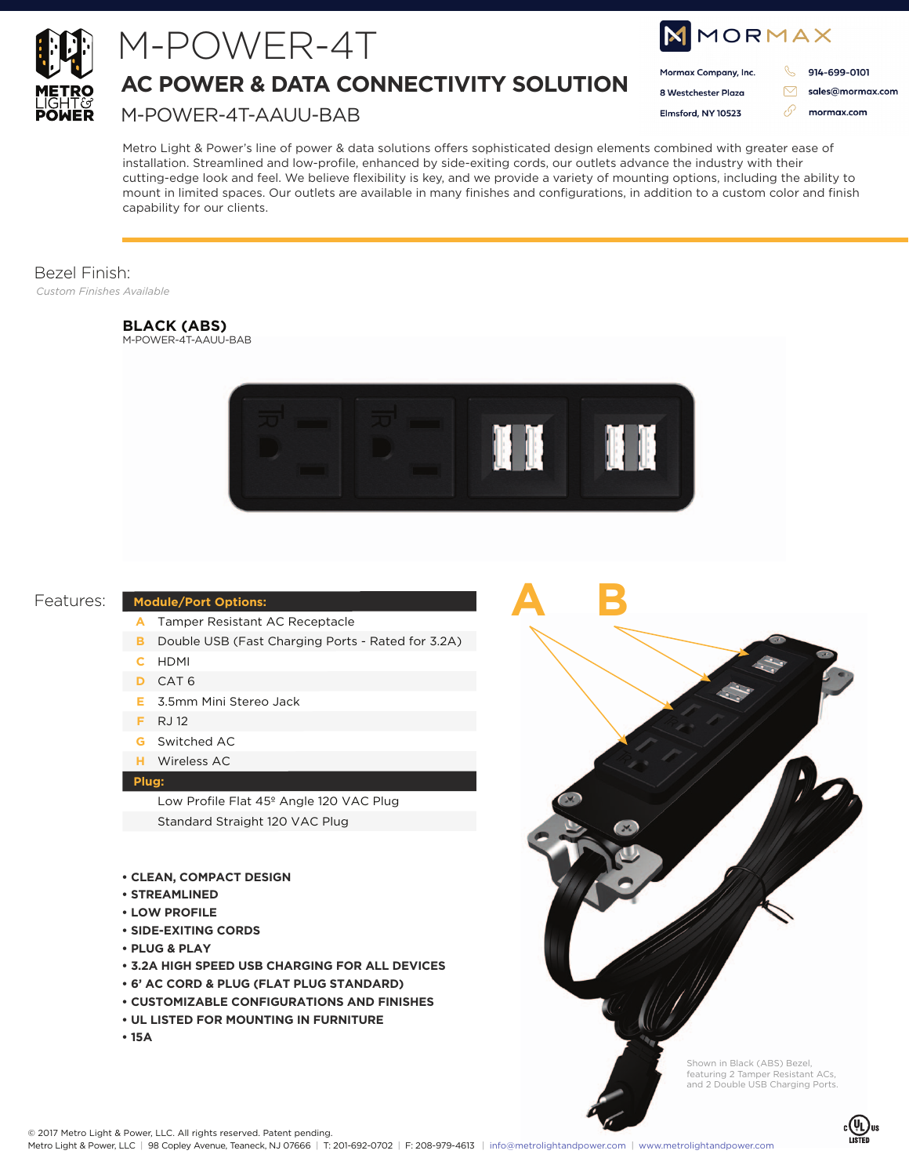

## M-POWER-4T

**AC POWER & DATA CONNECTIVITY SOLUTION**

M-POWER-4T-AAUU-BAB

| MMORMAX              |  |                  |
|----------------------|--|------------------|
| Mormax Company, Inc. |  | 914-699-0101     |
| 8 Westchester Plaza  |  | sales@mormax.com |
| Elmsford, NY 10523   |  | mormax.com       |
|                      |  |                  |

Metro Light & Power's line of power & data solutions offers sophisticated design elements combined with greater ease of installation. Streamlined and low-profile, enhanced by side-exiting cords, our outlets advance the industry with their cutting-edge look and feel. We believe flexibility is key, and we provide a variety of mounting options, including the ability to mount in limited spaces. Our outlets are available in many finishes and configurations, in addition to a custom color and finish capability for our clients.

#### Bezel Finish:

*Custom Finishes Available*

#### **BLACK (ABS)**

M-POWER-4T-AAUU-BAB



**A B**



#### **Module/Port Options:**

- Tamper Resistant AC Receptacle **A**
- **B** Double USB (Fast Charging Ports Rated for 3.2A)
- HDMI **C**
- CAT 6 **D**
- 3.5mm Mini Stereo Jack **E**
- RJ 12 **F**
- Switched AC **G**
- Wireless AC **H**

#### **Plug:**

Low Profile Flat 45º Angle 120 VAC Plug Standard Straight 120 VAC Plug

#### **• CLEAN, COMPACT DESIGN**

- **STREAMLINED**
- **LOW PROFILE**
- **SIDE-EXITING CORDS**
- **PLUG & PLAY**
- **3.2A HIGH SPEED USB CHARGING FOR ALL DEVICES**
- **6' AC CORD & PLUG (FLAT PLUG STANDARD)**
- **CUSTOMIZABLE CONFIGURATIONS AND FINISHES**
- **UL LISTED FOR MOUNTING IN FURNITURE**
- **15A**

Shown in Black (ABS) Bezel, featuring 2 Tamper Resistant ACs, and 2 Double USB Charging Ports.

© 2017 Metro Light & Power, LLC. All rights reserved. Patent pending.